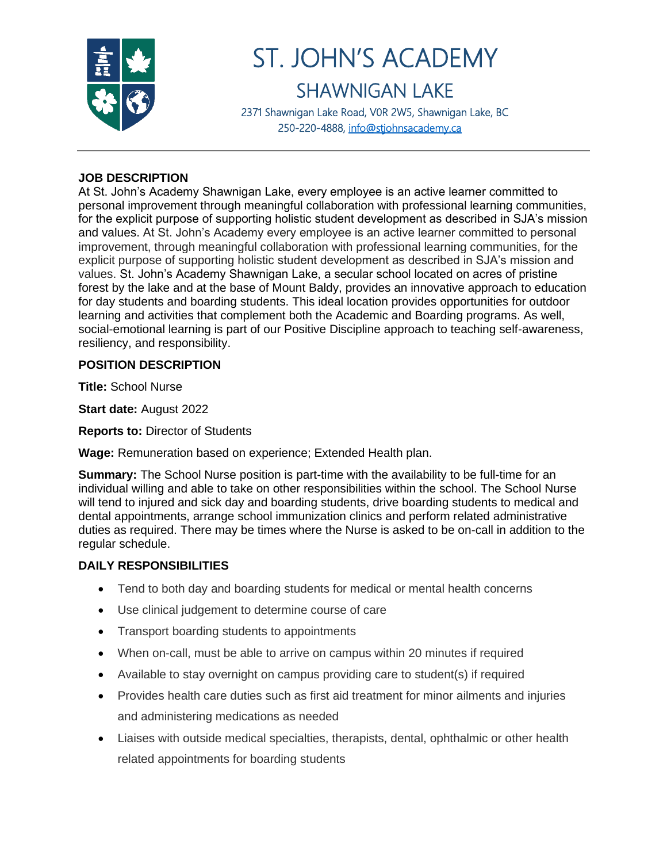

# ST. JOHN'S ACADEMY SHAWNIGAN LAKE

2371 Shawnigan Lake Road, V0R 2W5, Shawnigan Lake, BC 250-220-4888, [info@stjohnsacademy.ca](mailto:info@stjohnsacademy.ca)

## **JOB DESCRIPTION**

At St. John's Academy Shawnigan Lake, every employee is an active learner committed to personal improvement through meaningful collaboration with professional learning communities, for the explicit purpose of supporting holistic student development as described in SJA's mission and values. At St. John's Academy every employee is an active learner committed to personal improvement, through meaningful collaboration with professional learning communities, for the explicit purpose of supporting holistic student development as described in SJA's mission and values. St. John's Academy Shawnigan Lake, a secular school located on acres of pristine forest by the lake and at the base of Mount Baldy, provides an innovative approach to education for day students and boarding students. This ideal location provides opportunities for outdoor learning and activities that complement both the Academic and Boarding programs. As well, social-emotional learning is part of our Positive Discipline approach to teaching self-awareness, resiliency, and responsibility.

#### **POSITION DESCRIPTION**

**Title:** School Nurse

**Start date:** August 2022

**Reports to:** Director of Students

**Wage:** Remuneration based on experience; Extended Health plan.

**Summary:** The School Nurse position is part-time with the availability to be full-time for an individual willing and able to take on other responsibilities within the school. The School Nurse will tend to injured and sick day and boarding students, drive boarding students to medical and dental appointments, arrange school immunization clinics and perform related administrative duties as required. There may be times where the Nurse is asked to be on-call in addition to the regular schedule.

#### **DAILY RESPONSIBILITIES**

- Tend to both day and boarding students for medical or mental health concerns
- Use clinical judgement to determine course of care
- Transport boarding students to appointments
- When on-call, must be able to arrive on campus within 20 minutes if required
- Available to stay overnight on campus providing care to student(s) if required
- Provides health care duties such as first aid treatment for minor ailments and injuries and administering medications as needed
- Liaises with outside medical specialties, therapists, dental, ophthalmic or other health related appointments for boarding students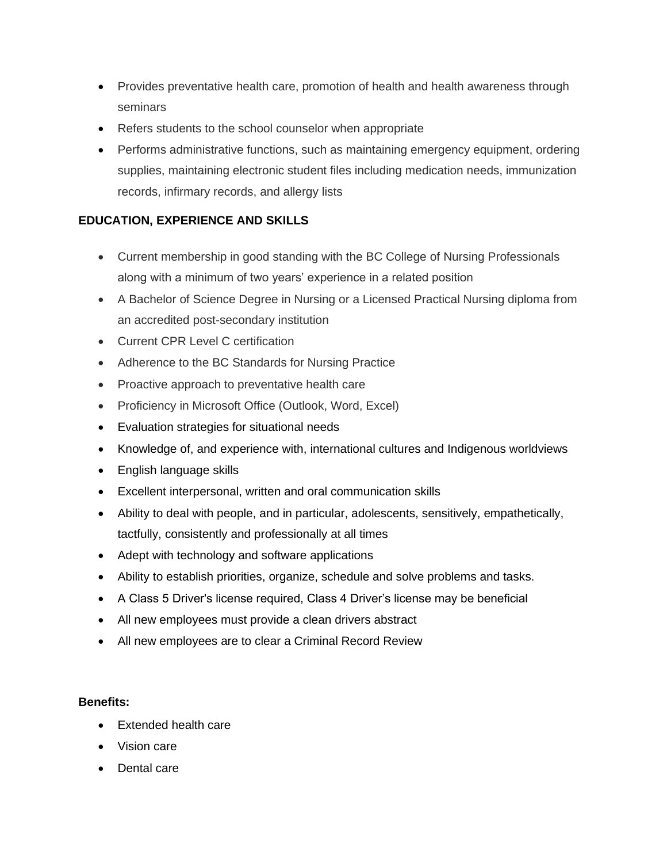- Provides preventative health care, promotion of health and health awareness through seminars
- Refers students to the school counselor when appropriate
- Performs administrative functions, such as maintaining emergency equipment, ordering supplies, maintaining electronic student files including medication needs, immunization records, infirmary records, and allergy lists

## **EDUCATION, EXPERIENCE AND SKILLS**

- Current membership in good standing with the BC College of Nursing Professionals along with a minimum of two years' experience in a related position
- A Bachelor of Science Degree in Nursing or a Licensed Practical Nursing diploma from an accredited post-secondary institution
- Current CPR Level C certification
- Adherence to the BC Standards for Nursing Practice
- Proactive approach to preventative health care
- Proficiency in Microsoft Office (Outlook, Word, Excel)
- Evaluation strategies for situational needs
- Knowledge of, and experience with, international cultures and Indigenous worldviews
- English language skills
- Excellent interpersonal, written and oral communication skills
- Ability to deal with people, and in particular, adolescents, sensitively, empathetically, tactfully, consistently and professionally at all times
- Adept with technology and software applications
- Ability to establish priorities, organize, schedule and solve problems and tasks.
- A Class 5 Driver's license required, Class 4 Driver's license may be beneficial
- All new employees must provide a clean drivers abstract
- All new employees are to clear a Criminal Record Review

#### **Benefits:**

- Extended health care
- Vision care
- Dental care